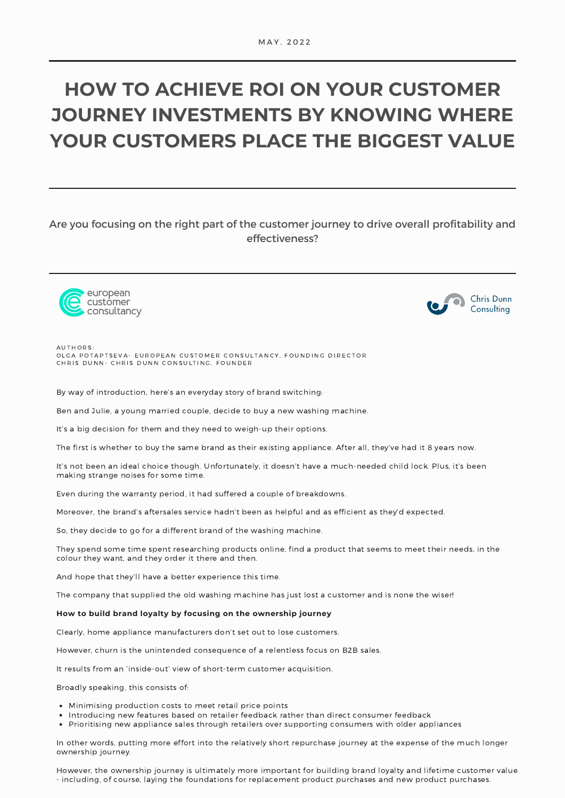# **HOW TO ACHIEVE ROI ON YOUR CUSTOMER JOURNEY INVESTMENTS BY KNOWING WHERE YOUR CUSTOMERS PLACE THE BIGGEST VALUE**

# Are you focusing on the right part of the customer journey to drive overall profitability and effectiveness?





A U T H O R S : OLGA POTAPTSEVA- EUROPEAN CUSTOMER CONSULTANCY, FOUNDING DIRECTOR CHRIS DUNN- CHRIS DUNN CONSULTING, FOUNDER

By way of introduction, here's an everyday story of brand switching:

Ben and Julie, a young married couple, decide to buy a new washing machine.

It's a big decision for them and they need to weigh-up their options.

The first is whether to buy the same brand as their existing appliance. After all, they've had it 8 years now.

It's not been an ideal choice though. Unfortunately, it doesn't have a much-needed child lock. Plus, it's been making strange noises for some time.

Even during the warranty period, it had suffered a couple of breakdowns.

Moreover, the brand's aftersales service hadn't been as helpful and as efficient as they'd expected.

So, they decide to go for a different brand of the washing machine.

They spend some time spent researching products online, find a product that seems to meet their needs, in the colour they want, and they order it there and then.

And hope that they'll have a better experience this time.

The company that supplied the old washing machine has just lost a customer and is none the wiser!

#### **How to build brand loyalty by focusing on the ownership journey**

Clearly, home appliance manufacturers don't set out to lose customers.

However, churn is the unintended consequence of a relentless focus on B2B sales.

It results from an 'inside-out' view of short-term customer acquisition.

Broadly speaking, this consists of:

- Minimising production costs to meet retail price points
- Introducing new features based on retailer feedback rather than direct consumer feedback
- Prioritising new appliance sales through retailers over supporting consumers with older appliances

In other words, putting more effort into the relatively short repurchase journey at the expense of the much longer ownership journey.

However, the ownership journey is ultimately more important for building brand loyalty and lifetime customer value - including, of course, laying the foundations for replacement product purchases and new product purchases.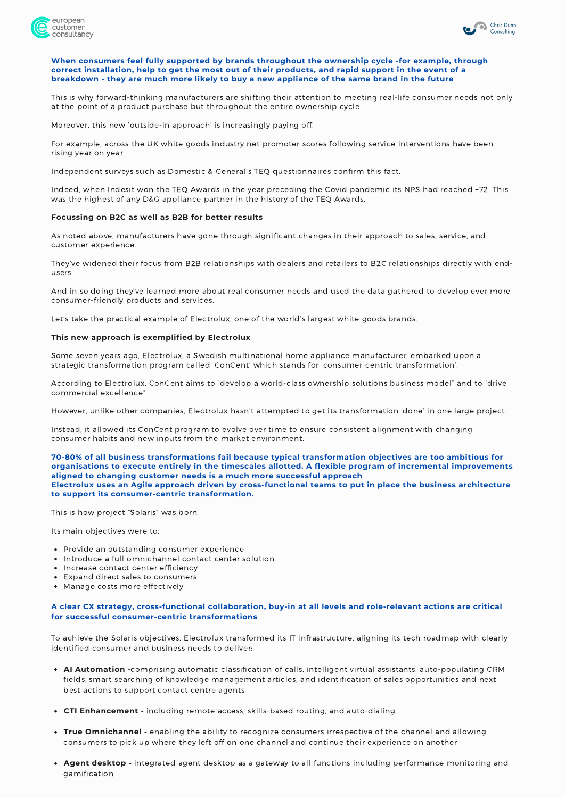



### **When consumers feel fully supported by brands throughout the ownership cycle -for example, through** correct installation, help to get the most out of their products, and rapid support in the event of a breakdown - they are much more likely to buy a new appliance of the same brand in the future

This is why forward-thinking manufacturers are shifting their attention to meeting real-life consumer needs not only at the point of a product purchase but throughout the entire ownership cycle.

Moreover, this new 'outside-in approach' is increasingly paying off.

For example, across the UK white goods industry net promoter scores following service interventions have been rising year on year.

Independent surveys such as Domestic & General's TEQ questionnaires confirm this fact.

Indeed, when Indesit won the TEQ Awards in the year preceding the Covid pandemic its NPS had [reached](https://jmmpr.co.uk/indesit-wins-prestigious-customer-service-award/) +72. This was the highest of any D&G appliance partner in the history of the TEQ Awards.

#### **Focussing on B2C as well as B2B for better results**

As noted above, manufacturers have gone through significant changes in their approach to sales, service, and customer experience.

They've widened their focus from B2B relationships with dealers and retailers to B2C relationships directly with endusers.

And in so doing they've learned more about real consumer needs and used the data gathered to develop ever more consumer-friendly products and services.

Let's take the practical example of Electrolux, one of the world's largest white goods brands.

#### **This new approach is exemplified by Electrolux**

Some seven years ago, Electrolux, a Swedish multinational home appliance manufacturer, embarked upon a strategic transformation program called 'ConCent' which stands for 'consumer-centric transformation'.

According to Electrolux, ConCent aims to "develop a world-class ownership solutions business model" and to "drive commercial excellence".

However, unlike other companies, Electrolux hasn't attempted to get its transformation 'done' in one large project.

Instead, it allowed its ConCent program to evolve over time to ensure consistent alignment with changing consumer habits and new inputs from the market environment.

**70-80% of all business transformations fail because typical transformation objectives are too ambitious for organisations to execute entirely in the timescales allotted. A flexible program of incremental improvements aligned to changing customer needs is a much more successful approach Electrolux uses an Agile approach driven by cross-functional teams to put in place the business architecture to support its consumer-centric transformation.**

This is how project "Solaris" was born.

Its main objectives were to:

- Provide an outstanding consumer experience
- Introduce a full omnichannel contact center solution
- Increase contact center efficiency
- Expand direct sales to consumers
- Manage costs more effectively

# **A clear CX strategy, cross-functional collaboration, buy-in at all levels and role-relevant actions are critical for successful consumer-centric transformations**

To achieve the Solaris objectives, Electrolux transformed its IT infrastructure, aligning its tech roadmap with clearly identified consumer and business needs to deliver:

- **AI Automation -**comprising automatic classification of calls, intelligent virtual assistants, auto-populating CRM fields, smart searching of knowledge management articles, and identification of sales opportunities and next best actions to support contact centre agents
- **CTI Enhancement -** including remote access, skills-based routing, and auto-dialing
- **True Omnichannel -** enabling the ability to recognize consumers irrespective of the channel and allowing consumers to pick up where they left off on one channel and continue their experience on another
- **Agent desktop -** integrated agent desktop as a gateway to all functions including performance monitoring and gamification